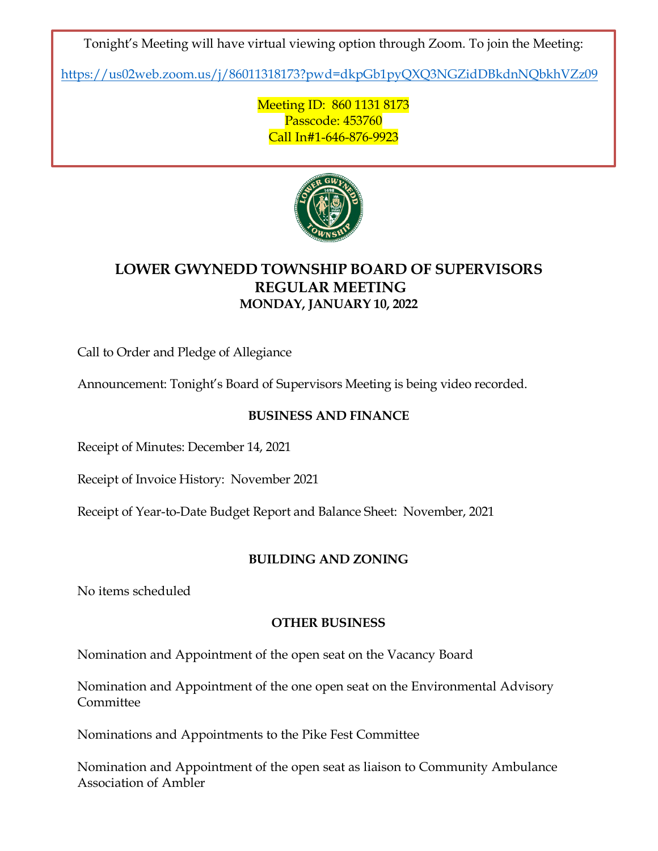Tonight's Meeting will have virtual viewing option through Zoom. To join the Meeting:

<https://us02web.zoom.us/j/86011318173?pwd=dkpGb1pyQXQ3NGZidDBkdnNQbkhVZz09>

Meeting ID: 860 1131 8173 Passcode: 453760 Call In#1-646-876-9923



# **LOWER GWYNEDD TOWNSHIP BOARD OF SUPERVISORS REGULAR MEETING MONDAY, JANUARY 10, 2022**

Call to Order and Pledge of Allegiance

Announcement: Tonight's Board of Supervisors Meeting is being video recorded.

## **BUSINESS AND FINANCE**

Receipt of Minutes: December 14, 2021

Receipt of Invoice History: November 2021

Receipt of Year-to-Date Budget Report and Balance Sheet: November, 2021

## **BUILDING AND ZONING**

No items scheduled

#### **OTHER BUSINESS**

Nomination and Appointment of the open seat on the Vacancy Board

Nomination and Appointment of the one open seat on the Environmental Advisory Committee

Nominations and Appointments to the Pike Fest Committee

Nomination and Appointment of the open seat as liaison to Community Ambulance Association of Ambler